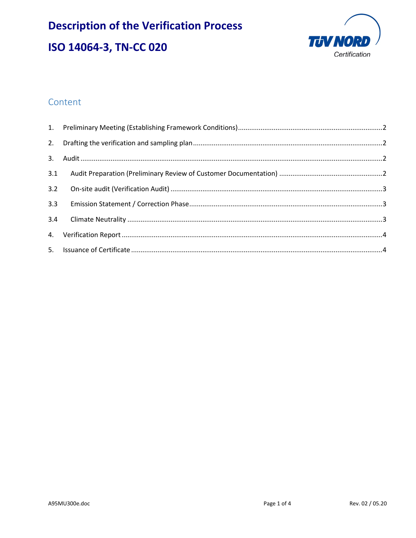# **Description of the Verification Process** ISO 14064-3, TN-CC 020



# Content

| 3.2 |  |
|-----|--|
| 3.3 |  |
|     |  |
|     |  |
|     |  |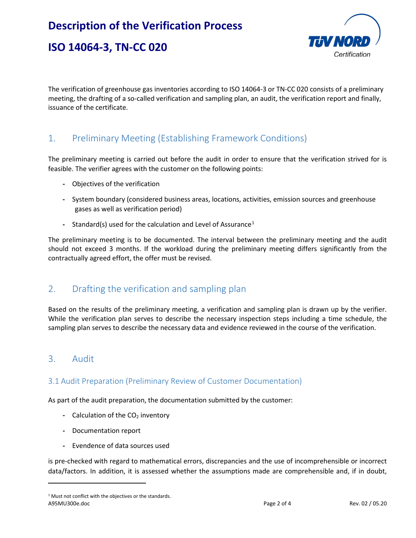# **Description of the Verification Process**





The verification of greenhouse gas inventories according to ISO 14064-3 or TN-CC 020 consists of a preliminary meeting, the drafting of a so-called verification and sampling plan, an audit, the verification report and finally, issuance of the certificate.

## <span id="page-1-0"></span>1. Preliminary Meeting (Establishing Framework Conditions)

The preliminary meeting is carried out before the audit in order to ensure that the verification strived for is feasible. The verifier agrees with the customer on the following points:

- **-** Objectives of the verification
- **-** System boundary (considered business areas, locations, activities, emission sources and greenhouse gases as well as verification period)
- **-** Standard(s) used for the calculation and Level of Assurance<sup>[1](#page-1-4)</sup>

The preliminary meeting is to be documented. The interval between the preliminary meeting and the audit should not exceed 3 months. If the workload during the preliminary meeting differs significantly from the contractually agreed effort, the offer must be revised.

## <span id="page-1-1"></span>2. Drafting the verification and sampling plan

Based on the results of the preliminary meeting, a verification and sampling plan is drawn up by the verifier. While the verification plan serves to describe the necessary inspection steps including a time schedule, the sampling plan serves to describe the necessary data and evidence reviewed in the course of the verification.

### <span id="page-1-3"></span><span id="page-1-2"></span>3. Audit

 $\overline{\phantom{a}}$ 

#### 3.1 Audit Preparation (Preliminary Review of Customer Documentation)

As part of the audit preparation, the documentation submitted by the customer:

- **-** Calculation of the CO<sub>2</sub> inventory
- **-** Documentation report
- **-** Evendence of data sources used

is pre-checked with regard to mathematical errors, discrepancies and the use of incomprehensible or incorrect data/factors. In addition, it is assessed whether the assumptions made are comprehensible and, if in doubt,

<span id="page-1-4"></span>A95MU300e.doc Page 2 of 4 Rev. 02 / 05.20 <sup>1</sup> Must not conflict with the objectives or the standards.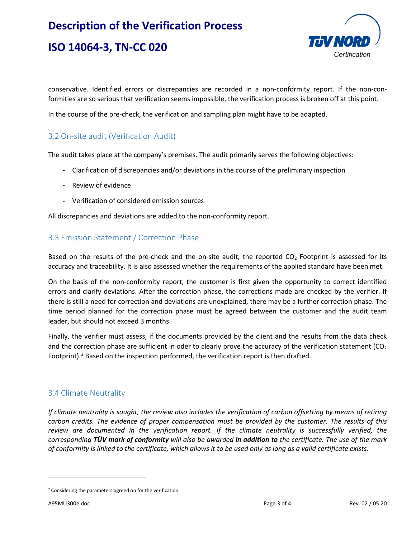# **Description of the Verification Process ISO 14064-3, TN-CC 020**



conservative. Identified errors or discrepancies are recorded in a non-conformity report. If the non-conformities are so serious that verification seems impossible, the verification process is broken off at this point.

In the course of the pre-check, the verification and sampling plan might have to be adapted.

### <span id="page-2-0"></span>3.2 On-site audit (Verification Audit)

The audit takes place at the company's premises. The audit primarily serves the following objectives:

- **-** Clarification of discrepancies and/or deviations in the course of the preliminary inspection
- **-** Review of evidence
- **-** Verification of considered emission sources

All discrepancies and deviations are added to the non-conformity report.

#### <span id="page-2-1"></span>3.3 Emission Statement / Correction Phase

Based on the results of the pre-check and the on-site audit, the reported  $CO<sub>2</sub>$  Footprint is assessed for its accuracy and traceability. It is also assessed whether the requirements of the applied standard have been met.

On the basis of the non-conformity report, the customer is first given the opportunity to correct identified errors and clarify deviations. After the correction phase, the corrections made are checked by the verifier. If there is still a need for correction and deviations are unexplained, there may be a further correction phase. The time period planned for the correction phase must be agreed between the customer and the audit team leader, but should not exceed 3 months.

Finally, the verifier must assess, if the documents provided by the client and the results from the data check and the correction phase are sufficient in oder to clearly prove the accuracy of the verification statement ( $CO<sub>2</sub>$ Footprint).<sup>[2](#page-2-3)</sup> Based on the inspection performed, the verification report is then drafted.

#### <span id="page-2-2"></span>3.4 Climate Neutrality

*If climate neutrality is sought, the review also includes the verification of carbon offsetting by means of retiring carbon credits. The evidence of proper compensation must be provided by the customer. The results of this review are documented in the verification report. If the climate neutrality is successfully verified, the corresponding TÜV mark of conformity will also be awarded in addition to the certificate. The use of the mark of conformity is linked to the certificate, which allows it to be used only as long as a valid certificate exists.* 

l

<span id="page-2-3"></span><sup>2</sup> Considering the parameters agreed on for the verification.